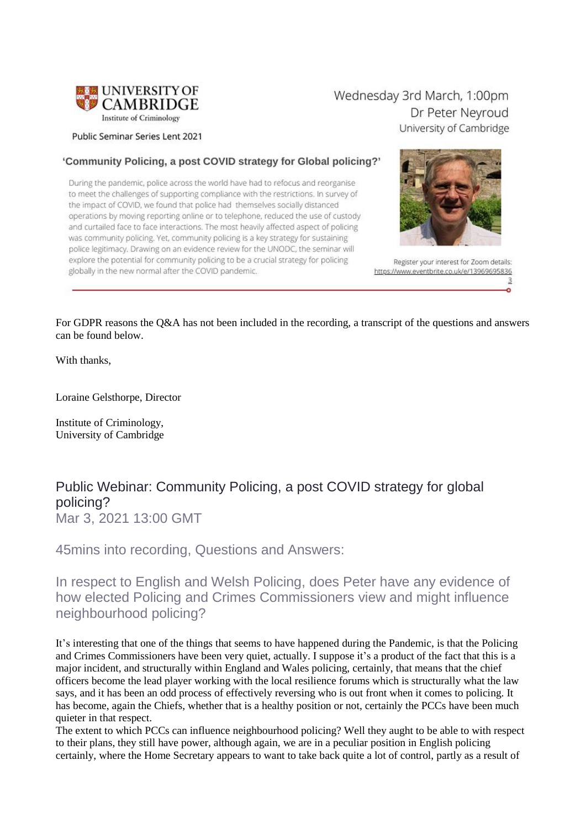

Public Seminar Series Lent 2021

#### 'Community Policing, a post COVID strategy for Global policing?'

During the pandemic, police across the world have had to refocus and reorganise to meet the challenges of supporting compliance with the restrictions. In survey of the impact of COVID, we found that police had themselves socially distanced operations by moving reporting online or to telephone, reduced the use of custody and curtailed face to face interactions. The most heavily affected aspect of policing was community policing. Yet, community policing is a key strategy for sustaining police legitimacy. Drawing on an evidence review for the UNODC, the seminar will explore the potential for community policing to be a crucial strategy for policing globally in the new normal after the COVID pandemic.



Wednesday 3rd March, 1:00pm



Register your interest for Zoom details: https://www.eventbrite.co.uk/e/13969695836  $\overline{\mathcal{X}}$ 

ö

For GDPR reasons the Q&A has not been included in the recording, a transcript of the questions and answers can be found below.

With thanks,

Loraine Gelsthorpe, Director

Institute of Criminology, University of Cambridge

#### Public Webinar: Community Policing, a post COVID strategy for global policing? Mar 3, 2021 13:00 GMT

45mins into recording, Questions and Answers:

In respect to English and Welsh Policing, does Peter have any evidence of how elected Policing and Crimes Commissioners view and might influence neighbourhood policing?

It's interesting that one of the things that seems to have happened during the Pandemic, is that the Policing and Crimes Commissioners have been very quiet, actually. I suppose it's a product of the fact that this is a major incident, and structurally within England and Wales policing, certainly, that means that the chief officers become the lead player working with the local resilience forums which is structurally what the law says, and it has been an odd process of effectively reversing who is out front when it comes to policing. It has become, again the Chiefs, whether that is a healthy position or not, certainly the PCCs have been much quieter in that respect.

The extent to which PCCs can influence neighbourhood policing? Well they aught to be able to with respect to their plans, they still have power, although again, we are in a peculiar position in English policing certainly, where the Home Secretary appears to want to take back quite a lot of control, partly as a result of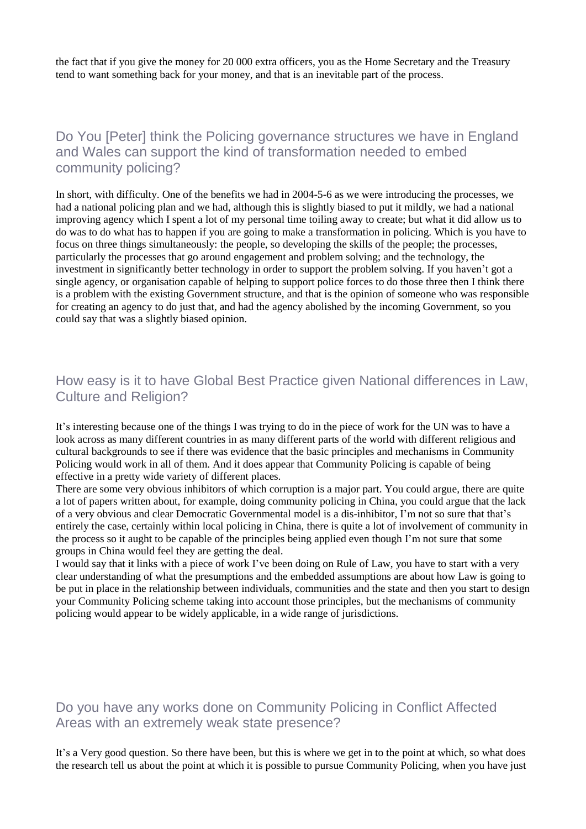the fact that if you give the money for 20 000 extra officers, you as the Home Secretary and the Treasury tend to want something back for your money, and that is an inevitable part of the process.

Do You [Peter] think the Policing governance structures we have in England and Wales can support the kind of transformation needed to embed community policing?

In short, with difficulty. One of the benefits we had in 2004-5-6 as we were introducing the processes, we had a national policing plan and we had, although this is slightly biased to put it mildly, we had a national improving agency which I spent a lot of my personal time toiling away to create; but what it did allow us to do was to do what has to happen if you are going to make a transformation in policing. Which is you have to focus on three things simultaneously: the people, so developing the skills of the people; the processes, particularly the processes that go around engagement and problem solving; and the technology, the investment in significantly better technology in order to support the problem solving. If you haven't got a single agency, or organisation capable of helping to support police forces to do those three then I think there is a problem with the existing Government structure, and that is the opinion of someone who was responsible for creating an agency to do just that, and had the agency abolished by the incoming Government, so you could say that was a slightly biased opinion.

## How easy is it to have Global Best Practice given National differences in Law, Culture and Religion?

It's interesting because one of the things I was trying to do in the piece of work for the UN was to have a look across as many different countries in as many different parts of the world with different religious and cultural backgrounds to see if there was evidence that the basic principles and mechanisms in Community Policing would work in all of them. And it does appear that Community Policing is capable of being effective in a pretty wide variety of different places.

There are some very obvious inhibitors of which corruption is a major part. You could argue, there are quite a lot of papers written about, for example, doing community policing in China, you could argue that the lack of a very obvious and clear Democratic Governmental model is a dis-inhibitor, I'm not so sure that that's entirely the case, certainly within local policing in China, there is quite a lot of involvement of community in the process so it aught to be capable of the principles being applied even though I'm not sure that some groups in China would feel they are getting the deal.

I would say that it links with a piece of work I've been doing on Rule of Law, you have to start with a very clear understanding of what the presumptions and the embedded assumptions are about how Law is going to be put in place in the relationship between individuals, communities and the state and then you start to design your Community Policing scheme taking into account those principles, but the mechanisms of community policing would appear to be widely applicable, in a wide range of jurisdictions.

### Do you have any works done on Community Policing in Conflict Affected Areas with an extremely weak state presence?

It's a Very good question. So there have been, but this is where we get in to the point at which, so what does the research tell us about the point at which it is possible to pursue Community Policing, when you have just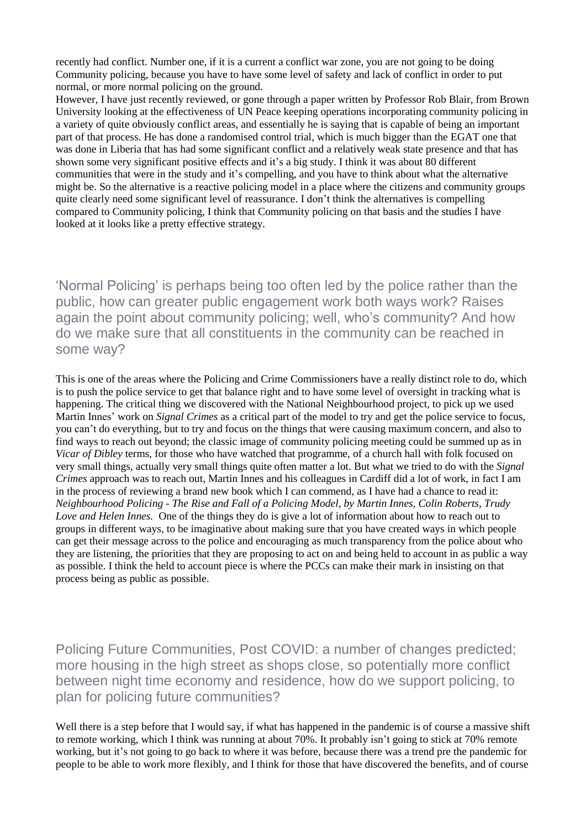recently had conflict. Number one, if it is a current a conflict war zone, you are not going to be doing Community policing, because you have to have some level of safety and lack of conflict in order to put normal, or more normal policing on the ground.

However, I have just recently reviewed, or gone through a paper written by Professor Rob Blair, from Brown University looking at the effectiveness of UN Peace keeping operations incorporating community policing in a variety of quite obviously conflict areas, and essentially he is saying that is capable of being an important part of that process. He has done a randomised control trial, which is much bigger than the EGAT one that was done in Liberia that has had some significant conflict and a relatively weak state presence and that has shown some very significant positive effects and it's a big study. I think it was about 80 different communities that were in the study and it's compelling, and you have to think about what the alternative might be. So the alternative is a reactive policing model in a place where the citizens and community groups quite clearly need some significant level of reassurance. I don't think the alternatives is compelling compared to Community policing, I think that Community policing on that basis and the studies I have looked at it looks like a pretty effective strategy.

'Normal Policing' is perhaps being too often led by the police rather than the public, how can greater public engagement work both ways work? Raises again the point about community policing; well, who's community? And how do we make sure that all constituents in the community can be reached in some way?

This is one of the areas where the Policing and Crime Commissioners have a really distinct role to do, which is to push the police service to get that balance right and to have some level of oversight in tracking what is happening. The critical thing we discovered with the National Neighbourhood project, to pick up we used Martin Innes' work on *Signal Crimes* as a critical part of the model to try and get the police service to focus, you can't do everything, but to try and focus on the things that were causing maximum concern, and also to find ways to reach out beyond; the classic image of community policing meeting could be summed up as in *Vicar of Dibley* terms, for those who have watched that programme, of a church hall with folk focused on very small things, actually very small things quite often matter a lot. But what we tried to do with the *Signal Crimes* approach was to reach out, Martin Innes and his colleagues in Cardiff did a lot of work, in fact I am in the process of reviewing a brand new book which I can commend, as I have had a chance to read it: *Neighbourhood Policing - The Rise and Fall of a Policing Model, by Martin Innes, Colin Roberts, Trudy Love and Helen Innes.* One of the things they do is give a lot of information about how to reach out to groups in different ways, to be imaginative about making sure that you have created ways in which people can get their message across to the police and encouraging as much transparency from the police about who they are listening, the priorities that they are proposing to act on and being held to account in as public a way as possible. I think the held to account piece is where the PCCs can make their mark in insisting on that process being as public as possible.

Policing Future Communities, Post COVID: a number of changes predicted; more housing in the high street as shops close, so potentially more conflict between night time economy and residence, how do we support policing, to plan for policing future communities?

Well there is a step before that I would say, if what has happened in the pandemic is of course a massive shift to remote working, which I think was running at about 70%. It probably isn't going to stick at 70% remote working, but it's not going to go back to where it was before, because there was a trend pre the pandemic for people to be able to work more flexibly, and I think for those that have discovered the benefits, and of course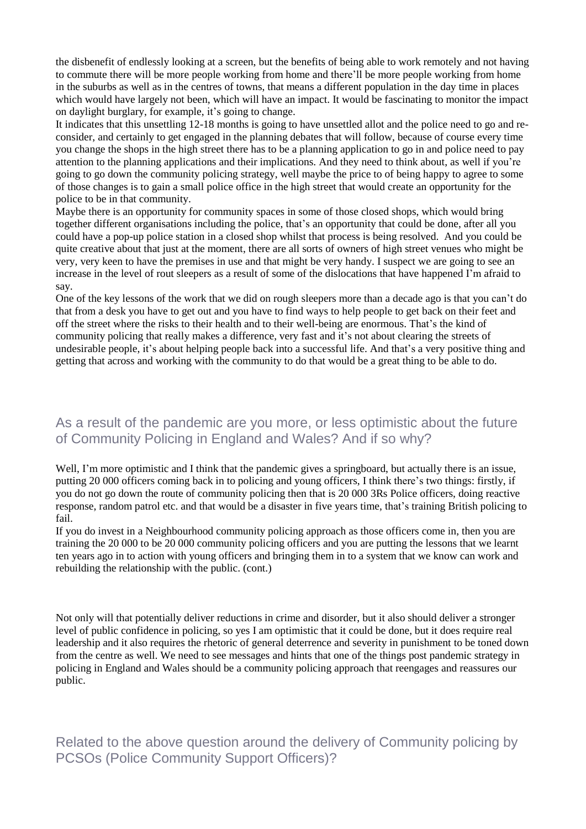the disbenefit of endlessly looking at a screen, but the benefits of being able to work remotely and not having to commute there will be more people working from home and there'll be more people working from home in the suburbs as well as in the centres of towns, that means a different population in the day time in places which would have largely not been, which will have an impact. It would be fascinating to monitor the impact on daylight burglary, for example, it's going to change.

It indicates that this unsettling 12-18 months is going to have unsettled allot and the police need to go and reconsider, and certainly to get engaged in the planning debates that will follow, because of course every time you change the shops in the high street there has to be a planning application to go in and police need to pay attention to the planning applications and their implications. And they need to think about, as well if you're going to go down the community policing strategy, well maybe the price to of being happy to agree to some of those changes is to gain a small police office in the high street that would create an opportunity for the police to be in that community.

Maybe there is an opportunity for community spaces in some of those closed shops, which would bring together different organisations including the police, that's an opportunity that could be done, after all you could have a pop-up police station in a closed shop whilst that process is being resolved. And you could be quite creative about that just at the moment, there are all sorts of owners of high street venues who might be very, very keen to have the premises in use and that might be very handy. I suspect we are going to see an increase in the level of rout sleepers as a result of some of the dislocations that have happened I'm afraid to say.

One of the key lessons of the work that we did on rough sleepers more than a decade ago is that you can't do that from a desk you have to get out and you have to find ways to help people to get back on their feet and off the street where the risks to their health and to their well-being are enormous. That's the kind of community policing that really makes a difference, very fast and it's not about clearing the streets of undesirable people, it's about helping people back into a successful life. And that's a very positive thing and getting that across and working with the community to do that would be a great thing to be able to do.

# As a result of the pandemic are you more, or less optimistic about the future of Community Policing in England and Wales? And if so why?

Well, I'm more optimistic and I think that the pandemic gives a springboard, but actually there is an issue, putting 20 000 officers coming back in to policing and young officers, I think there's two things: firstly, if you do not go down the route of community policing then that is 20 000 3Rs Police officers, doing reactive response, random patrol etc. and that would be a disaster in five years time, that's training British policing to fail.

If you do invest in a Neighbourhood community policing approach as those officers come in, then you are training the 20 000 to be 20 000 community policing officers and you are putting the lessons that we learnt ten years ago in to action with young officers and bringing them in to a system that we know can work and rebuilding the relationship with the public. (cont.)

Not only will that potentially deliver reductions in crime and disorder, but it also should deliver a stronger level of public confidence in policing, so yes I am optimistic that it could be done, but it does require real leadership and it also requires the rhetoric of general deterrence and severity in punishment to be toned down from the centre as well. We need to see messages and hints that one of the things post pandemic strategy in policing in England and Wales should be a community policing approach that reengages and reassures our public.

Related to the above question around the delivery of Community policing by PCSOs (Police Community Support Officers)?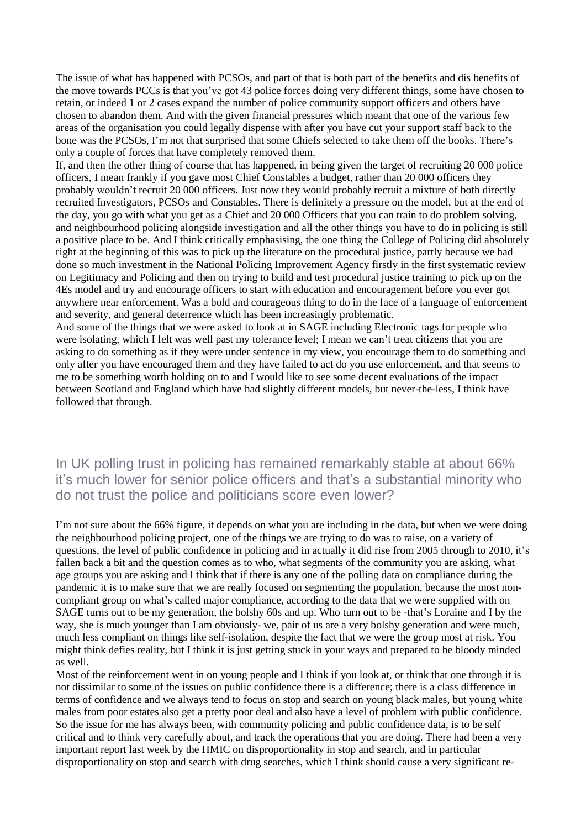The issue of what has happened with PCSOs, and part of that is both part of the benefits and dis benefits of the move towards PCCs is that you've got 43 police forces doing very different things, some have chosen to retain, or indeed 1 or 2 cases expand the number of police community support officers and others have chosen to abandon them. And with the given financial pressures which meant that one of the various few areas of the organisation you could legally dispense with after you have cut your support staff back to the bone was the PCSOs, I'm not that surprised that some Chiefs selected to take them off the books. There's only a couple of forces that have completely removed them.

If, and then the other thing of course that has happened, in being given the target of recruiting 20 000 police officers, I mean frankly if you gave most Chief Constables a budget, rather than 20 000 officers they probably wouldn't recruit 20 000 officers. Just now they would probably recruit a mixture of both directly recruited Investigators, PCSOs and Constables. There is definitely a pressure on the model, but at the end of the day, you go with what you get as a Chief and 20 000 Officers that you can train to do problem solving, and neighbourhood policing alongside investigation and all the other things you have to do in policing is still a positive place to be. And I think critically emphasising, the one thing the College of Policing did absolutely right at the beginning of this was to pick up the literature on the procedural justice, partly because we had done so much investment in the National Policing Improvement Agency firstly in the first systematic review on Legitimacy and Policing and then on trying to build and test procedural justice training to pick up on the 4Es model and try and encourage officers to start with education and encouragement before you ever got anywhere near enforcement. Was a bold and courageous thing to do in the face of a language of enforcement and severity, and general deterrence which has been increasingly problematic.

And some of the things that we were asked to look at in SAGE including Electronic tags for people who were isolating, which I felt was well past my tolerance level; I mean we can't treat citizens that you are asking to do something as if they were under sentence in my view, you encourage them to do something and only after you have encouraged them and they have failed to act do you use enforcement, and that seems to me to be something worth holding on to and I would like to see some decent evaluations of the impact between Scotland and England which have had slightly different models, but never-the-less, I think have followed that through.

In UK polling trust in policing has remained remarkably stable at about 66% it's much lower for senior police officers and that's a substantial minority who do not trust the police and politicians score even lower?

I'm not sure about the 66% figure, it depends on what you are including in the data, but when we were doing the neighbourhood policing project, one of the things we are trying to do was to raise, on a variety of questions, the level of public confidence in policing and in actually it did rise from 2005 through to 2010, it's fallen back a bit and the question comes as to who, what segments of the community you are asking, what age groups you are asking and I think that if there is any one of the polling data on compliance during the pandemic it is to make sure that we are really focused on segmenting the population, because the most noncompliant group on what's called major compliance, according to the data that we were supplied with on SAGE turns out to be my generation, the bolshy 60s and up. Who turn out to be -that's Loraine and I by the way, she is much younger than I am obviously- we, pair of us are a very bolshy generation and were much, much less compliant on things like self-isolation, despite the fact that we were the group most at risk. You might think defies reality, but I think it is just getting stuck in your ways and prepared to be bloody minded as well.

Most of the reinforcement went in on young people and I think if you look at, or think that one through it is not dissimilar to some of the issues on public confidence there is a difference; there is a class difference in terms of confidence and we always tend to focus on stop and search on young black males, but young white males from poor estates also get a pretty poor deal and also have a level of problem with public confidence. So the issue for me has always been, with community policing and public confidence data, is to be self critical and to think very carefully about, and track the operations that you are doing. There had been a very important report last week by the HMIC on disproportionality in stop and search, and in particular disproportionality on stop and search with drug searches, which I think should cause a very significant re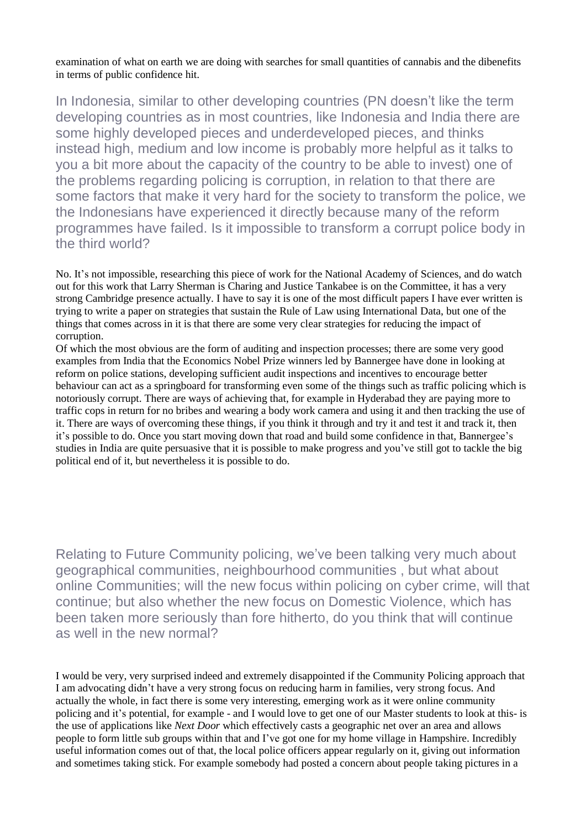examination of what on earth we are doing with searches for small quantities of cannabis and the dibenefits in terms of public confidence hit.

In Indonesia, similar to other developing countries (PN doesn't like the term developing countries as in most countries, like Indonesia and India there are some highly developed pieces and underdeveloped pieces, and thinks instead high, medium and low income is probably more helpful as it talks to you a bit more about the capacity of the country to be able to invest) one of the problems regarding policing is corruption, in relation to that there are some factors that make it very hard for the society to transform the police, we the Indonesians have experienced it directly because many of the reform programmes have failed. Is it impossible to transform a corrupt police body in the third world?

No. It's not impossible, researching this piece of work for the National Academy of Sciences, and do watch out for this work that Larry Sherman is Charing and Justice Tankabee is on the Committee, it has a very strong Cambridge presence actually. I have to say it is one of the most difficult papers I have ever written is trying to write a paper on strategies that sustain the Rule of Law using International Data, but one of the things that comes across in it is that there are some very clear strategies for reducing the impact of corruption.

Of which the most obvious are the form of auditing and inspection processes; there are some very good examples from India that the Economics Nobel Prize winners led by Bannergee have done in looking at reform on police stations, developing sufficient audit inspections and incentives to encourage better behaviour can act as a springboard for transforming even some of the things such as traffic policing which is notoriously corrupt. There are ways of achieving that, for example in Hyderabad they are paying more to traffic cops in return for no bribes and wearing a body work camera and using it and then tracking the use of it. There are ways of overcoming these things, if you think it through and try it and test it and track it, then it's possible to do. Once you start moving down that road and build some confidence in that, Bannergee's studies in India are quite persuasive that it is possible to make progress and you've still got to tackle the big political end of it, but nevertheless it is possible to do.

Relating to Future Community policing, we've been talking very much about geographical communities, neighbourhood communities , but what about online Communities; will the new focus within policing on cyber crime, will that continue; but also whether the new focus on Domestic Violence, which has been taken more seriously than fore hitherto, do you think that will continue as well in the new normal?

I would be very, very surprised indeed and extremely disappointed if the Community Policing approach that I am advocating didn't have a very strong focus on reducing harm in families, very strong focus. And actually the whole, in fact there is some very interesting, emerging work as it were online community policing and it's potential, for example - and I would love to get one of our Master students to look at this- is the use of applications like *Next Door* which effectively casts a geographic net over an area and allows people to form little sub groups within that and I've got one for my home village in Hampshire. Incredibly useful information comes out of that, the local police officers appear regularly on it, giving out information and sometimes taking stick. For example somebody had posted a concern about people taking pictures in a